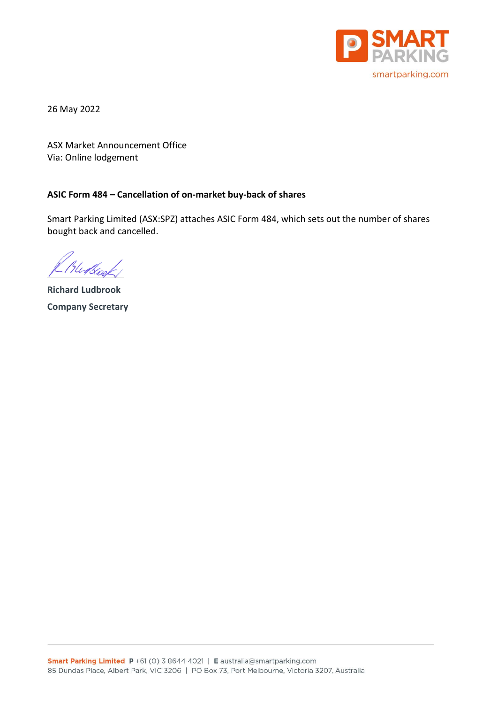

26 May 2022

ASX Market Announcement Office Via: Online lodgement

### **ASIC Form 484 – Cancellation of on-market buy-back of shares**

Smart Parking Limited (ASX:SPZ) attaches ASIC Form 484, which sets out the number of shares bought back and cancelled.

Hutsook

**Richard Ludbrook Company Secretary**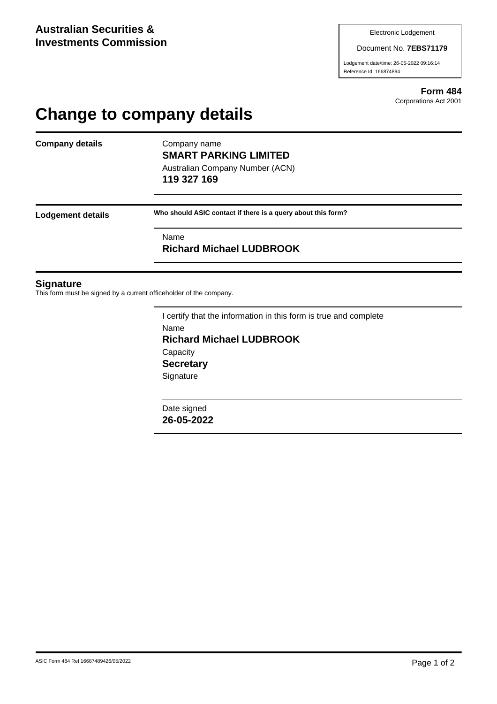Document No. **7EBS71179**

Lodgement date/time: 26-05-2022 09:16:14 Reference Id: 166874894

> **Form 484** Corporations Act 2001

# **Change to company details**

**Company details** Company name

**SMART PARKING LIMITED** Australian Company Number (ACN)

**119 327 169**

**Lodgement details Who should ASIC contact if there is a query about this form?**

Name **Richard Michael LUDBROOK**

#### **Signature**

This form must be signed by a current officeholder of the company.

I certify that the information in this form is true and complete Name **Richard Michael LUDBROOK Capacity Secretary Signature** 

Date signed **26-05-2022**